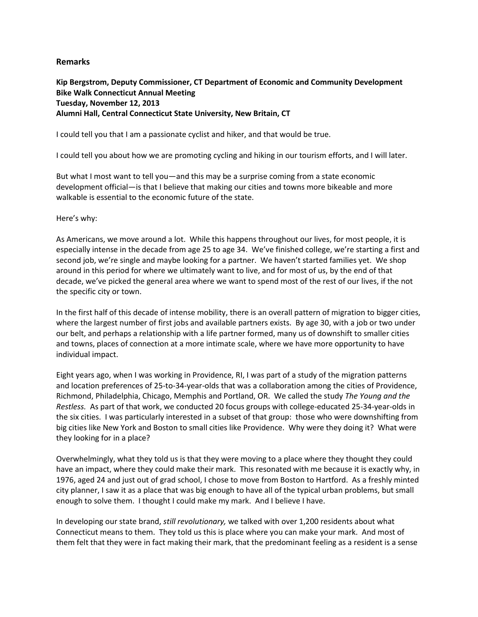## **Remarks**

**Kip Bergstrom, Deputy Commissioner, CT Department of Economic and Community Development Bike Walk Connecticut Annual Meeting Tuesday, November 12, 2013 Alumni Hall, Central Connecticut State University, New Britain, CT**

I could tell you that I am a passionate cyclist and hiker, and that would be true.

I could tell you about how we are promoting cycling and hiking in our tourism efforts, and I will later.

But what I most want to tell you—and this may be a surprise coming from a state economic development official—is that I believe that making our cities and towns more bikeable and more walkable is essential to the economic future of the state.

Here's why:

As Americans, we move around a lot. While this happens throughout our lives, for most people, it is especially intense in the decade from age 25 to age 34. We've finished college, we're starting a first and second job, we're single and maybe looking for a partner. We haven't started families yet. We shop around in this period for where we ultimately want to live, and for most of us, by the end of that decade, we've picked the general area where we want to spend most of the rest of our lives, if the not the specific city or town.

In the first half of this decade of intense mobility, there is an overall pattern of migration to bigger cities, where the largest number of first jobs and available partners exists. By age 30, with a job or two under our belt, and perhaps a relationship with a life partner formed, many us of downshift to smaller cities and towns, places of connection at a more intimate scale, where we have more opportunity to have individual impact.

Eight years ago, when I was working in Providence, RI, I was part of a study of the migration patterns and location preferences of 25-to-34-year-olds that was a collaboration among the cities of Providence, Richmond, Philadelphia, Chicago, Memphis and Portland, OR. We called the study *The Young and the Restless.* As part of that work, we conducted 20 focus groups with college-educated 25-34-year-olds in the six cities. I was particularly interested in a subset of that group: those who were downshifting from big cities like New York and Boston to small cities like Providence. Why were they doing it? What were they looking for in a place?

Overwhelmingly, what they told us is that they were moving to a place where they thought they could have an impact, where they could make their mark. This resonated with me because it is exactly why, in 1976, aged 24 and just out of grad school, I chose to move from Boston to Hartford. As a freshly minted city planner, I saw it as a place that was big enough to have all of the typical urban problems, but small enough to solve them. I thought I could make my mark. And I believe I have.

In developing our state brand, *still revolutionary,* we talked with over 1,200 residents about what Connecticut means to them. They told us this is place where you can make your mark. And most of them felt that they were in fact making their mark, that the predominant feeling as a resident is a sense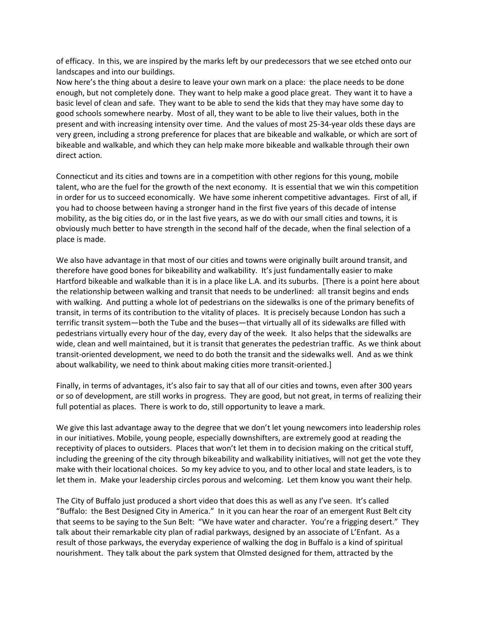of efficacy. In this, we are inspired by the marks left by our predecessors that we see etched onto our landscapes and into our buildings.

Now here's the thing about a desire to leave your own mark on a place: the place needs to be done enough, but not completely done. They want to help make a good place great. They want it to have a basic level of clean and safe. They want to be able to send the kids that they may have some day to good schools somewhere nearby. Most of all, they want to be able to live their values, both in the present and with increasing intensity over time. And the values of most 25-34-year olds these days are very green, including a strong preference for places that are bikeable and walkable, or which are sort of bikeable and walkable, and which they can help make more bikeable and walkable through their own direct action.

Connecticut and its cities and towns are in a competition with other regions for this young, mobile talent, who are the fuel for the growth of the next economy. It is essential that we win this competition in order for us to succeed economically. We have some inherent competitive advantages. First of all, if you had to choose between having a stronger hand in the first five years of this decade of intense mobility, as the big cities do, or in the last five years, as we do with our small cities and towns, it is obviously much better to have strength in the second half of the decade, when the final selection of a place is made.

We also have advantage in that most of our cities and towns were originally built around transit, and therefore have good bones for bikeability and walkability. It's just fundamentally easier to make Hartford bikeable and walkable than it is in a place like L.A. and its suburbs. [There is a point here about the relationship between walking and transit that needs to be underlined: all transit begins and ends with walking. And putting a whole lot of pedestrians on the sidewalks is one of the primary benefits of transit, in terms of its contribution to the vitality of places. It is precisely because London has such a terrific transit system—both the Tube and the buses—that virtually all of its sidewalks are filled with pedestrians virtually every hour of the day, every day of the week. It also helps that the sidewalks are wide, clean and well maintained, but it is transit that generates the pedestrian traffic. As we think about transit-oriented development, we need to do both the transit and the sidewalks well. And as we think about walkability, we need to think about making cities more transit-oriented.]

Finally, in terms of advantages, it's also fair to say that all of our cities and towns, even after 300 years or so of development, are still works in progress. They are good, but not great, in terms of realizing their full potential as places. There is work to do, still opportunity to leave a mark.

We give this last advantage away to the degree that we don't let young newcomers into leadership roles in our initiatives. Mobile, young people, especially downshifters, are extremely good at reading the receptivity of places to outsiders. Places that won't let them in to decision making on the critical stuff, including the greening of the city through bikeability and walkability initiatives, will not get the vote they make with their locational choices. So my key advice to you, and to other local and state leaders, is to let them in. Make your leadership circles porous and welcoming. Let them know you want their help.

The City of Buffalo just produced a short video that does this as well as any I've seen. It's called "Buffalo: the Best Designed City in America." In it you can hear the roar of an emergent Rust Belt city that seems to be saying to the Sun Belt: "We have water and character. You're a frigging desert." They talk about their remarkable city plan of radial parkways, designed by an associate of L'Enfant. As a result of those parkways, the everyday experience of walking the dog in Buffalo is a kind of spiritual nourishment. They talk about the park system that Olmsted designed for them, attracted by the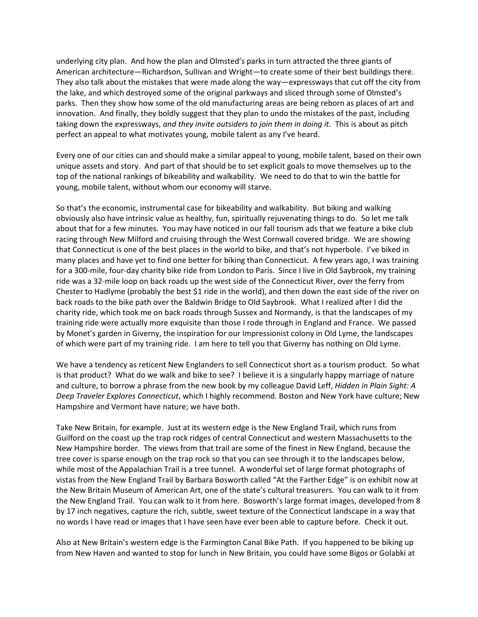underlying city plan. And how the plan and Olmsted's parks in turn attracted the three giants of American architecture—Richardson, Sullivan and Wright—to create some of their best buildings there. They also talk about the mistakes that were made along the way—expressways that cut off the city from the lake, and which destroyed some of the original parkways and sliced through some of Olmsted's parks. Then they show how some of the old manufacturing areas are being reborn as places of art and innovation. And finally, they boldly suggest that they plan to undo the mistakes of the past, including taking down the expressways, *and they invite outsiders to join them in doing it.* This is about as pitch perfect an appeal to what motivates young, mobile talent as any I've heard.

Every one of our cities can and should make a similar appeal to young, mobile talent, based on their own unique assets and story. And part of that should be to set explicit goals to move themselves up to the top of the national rankings of bikeability and walkability. We need to do that to win the battle for young, mobile talent, without whom our economy will starve.

So that's the economic, instrumental case for bikeability and walkability. But biking and walking obviously also have intrinsic value as healthy, fun, spiritually rejuvenating things to do. So let me talk about that for a few minutes. You may have noticed in our fall tourism ads that we feature a bike club racing through New Milford and cruising through the West Cornwall covered bridge. We are showing that Connecticut is one of the best places in the world to bike, and that's not hyperbole. I've biked in many places and have yet to find one better for biking than Connecticut. A few years ago, I was training for a 300-mile, four-day charity bike ride from London to Paris. Since I live in Old Saybrook, my training ride was a 32-mile loop on back roads up the west side of the Connecticut River, over the ferry from Chester to Hadlyme (probably the best \$1 ride in the world), and then down the east side of the river on back roads to the bike path over the Baldwin Bridge to Old Saybrook. What I realized after I did the charity ride, which took me on back roads through Sussex and Normandy, is that the landscapes of my training ride were actually more exquisite than those I rode through in England and France. We passed by Monet's garden in Giverny, the inspiration for our Impressionist colony in Old Lyme, the landscapes of which were part of my training ride. I am here to tell you that Giverny has nothing on Old Lyme.

We have a tendency as reticent New Englanders to sell Connecticut short as a tourism product. So what is that product? What do we walk and bike to see? I believe it is a singularly happy marriage of nature and culture, to borrow a phrase from the new book by my colleague David Leff, *Hidden in Plain Sight: A Deep Traveler Explores Connecticut*, which I highly recommend. Boston and New York have culture; New Hampshire and Vermont have nature; we have both.

Take New Britain, for example. Just at its western edge is the New England Trail, which runs from Guilford on the coast up the trap rock ridges of central Connecticut and western Massachusetts to the New Hampshire border. The views from that trail are some of the finest in New England, because the tree cover is sparse enough on the trap rock so that you can see through it to the landscapes below, while most of the Appalachian Trail is a tree tunnel. A wonderful set of large format photographs of vistas from the New England Trail by Barbara Bosworth called "At the Farther Edge" is on exhibit now at the New Britain Museum of American Art, one of the state's cultural treasurers. You can walk to it from the New England Trail. You can walk to it from here. Bosworth's large format images, developed from 8 by 17 inch negatives, capture the rich, subtle, sweet texture of the Connecticut landscape in a way that no words I have read or images that I have seen have ever been able to capture before. Check it out.

Also at New Britain's western edge is the Farmington Canal Bike Path. If you happened to be biking up from New Haven and wanted to stop for lunch in New Britain, you could have some Bigos or Golabki at